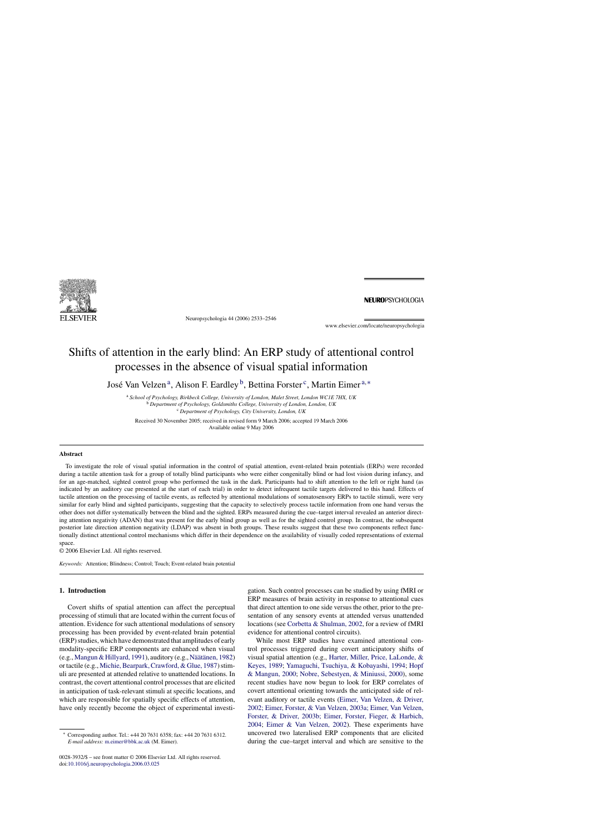

Neuropsychologia 44 (2006) 2533–2546

NEUROPSYCHOLOGIA

www.elsevier.com/locate/neuropsychologia

# Shifts of attention in the early blind: An ERP study of attentional control processes in the absence of visual spatial information

José Van Velzen<sup>a</sup>, Alison F. Eardley<sup>b</sup>, Bettina Forster<sup>c</sup>, Martin Eimer<sup>a,∗</sup>

<sup>a</sup> *School of Psychology, Birkbeck College, University of London, Malet Street, London WC1E 7HX, UK* <sup>b</sup> *Department of Psychology, Goldsmiths College, University of London, London, UK* <sup>c</sup> *Department of Psychology, City University, London, UK*

Received 30 November 2005; received in revised form 9 March 2006; accepted 19 March 2006 Available online 9 May 2006

#### **Abstract**

To investigate the role of visual spatial information in the control of spatial attention, event-related brain potentials (ERPs) were recorded during a tactile attention task for a group of totally blind participants who were either congenitally blind or had lost vision during infancy, and for an age-matched, sighted control group who performed the task in the dark. Participants had to shift attention to the left or right hand (as indicated by an auditory cue presented at the start of each trial) in order to detect infrequent tactile targets delivered to this hand. Effects of tactile attention on the processing of tactile events, as reflected by attentional modulations of somatosensory ERPs to tactile stimuli, were very similar for early blind and sighted participants, suggesting that the capacity to selectively process tactile information from one hand versus the other does not differ systematically between the blind and the sighted. ERPs measured during the cue–target interval revealed an anterior directing attention negativity (ADAN) that was present for the early blind group as well as for the sighted control group. In contrast, the subsequent posterior late direction attention negativity (LDAP) was absent in both groups. These results suggest that these two components reflect functionally distinct attentional control mechanisms which differ in their dependence on the availability of visually coded representations of external space.

© 2006 Elsevier Ltd. All rights reserved.

*Keywords:* Attention; Blindness; Control; Touch; Event-related brain potential

## **1. Introduction**

Covert shifts of spatial attention can affect the perceptual processing of stimuli that are located within the current focus of attention. Evidence for such attentional modulations of sensory processing has been provided by event-related brain potential (ERP) studies, which have demonstrated that amplitudes of early modality-specific ERP components are enhanced when visual (e.g., [Mangun & Hillyard, 1991\),](#page-12-0) auditory (e.g., Näätänen, 1982) or tactile (e.g., [Michie, Bearpark, Crawford, & Glue, 1987\)](#page-12-0) stimuli are presented at attended relative to unattended locations. In contrast, the covert attentional control processes that are elicited in anticipation of task-relevant stimuli at specific locations, and which are responsible for spatially specific effects of attention, have only recently become the object of experimental investi-

0028-3932/\$ – see front matter © 2006 Elsevier Ltd. All rights reserved. doi[:10.1016/j.neuropsychologia.2006.03.025](dx.doi.org/10.1016/j.neuropsychologia.2006.03.025)

gation. Such control processes can be studied by using fMRI or ERP measures of brain activity in response to attentional cues that direct attention to one side versus the other, prior to the presentation of any sensory events at attended versus unattended locations (see [Corbetta & Shulman, 2002,](#page-12-0) for a review of fMRI evidence for attentional control circuits).

While most ERP studies have examined attentional control processes triggered during covert anticipatory shifts of visual spatial attention (e.g., [Harter, Miller, Price, LaLonde, &](#page-12-0) [Keyes, 1989;](#page-12-0) [Yamaguchi, Tsuchiya, & Kobayashi, 1994;](#page-13-0) [Hopf](#page-12-0) [& Mangun, 2000;](#page-12-0) [Nobre, Sebestyen, & Miniussi, 2000\),](#page-13-0) some recent studies have now begun to look for ERP correlates of covert attentional orienting towards the anticipated side of relevant auditory or tactile events ([Eimer, Van Velzen, & Driver,](#page-12-0) [2002; Eimer, Forster, & Van Velzen, 2003a; Eimer, Van Velzen,](#page-12-0) [Forster, & Driver, 2003b; Eimer, Forster, Fieger, & Harbich,](#page-12-0) [2004;](#page-12-0) [Eimer & Van Velzen, 2002\).](#page-12-0) These experiments have uncovered two lateralised ERP components that are elicited during the cue–target interval and which are sensitive to the

<sup>∗</sup> Corresponding author. Tel.: +44 20 7631 6358; fax: +44 20 7631 6312. *E-mail address:* [m.eimer@bbk.ac.uk](mailto:m.eimer@bbk.ac.uk) (M. Eimer).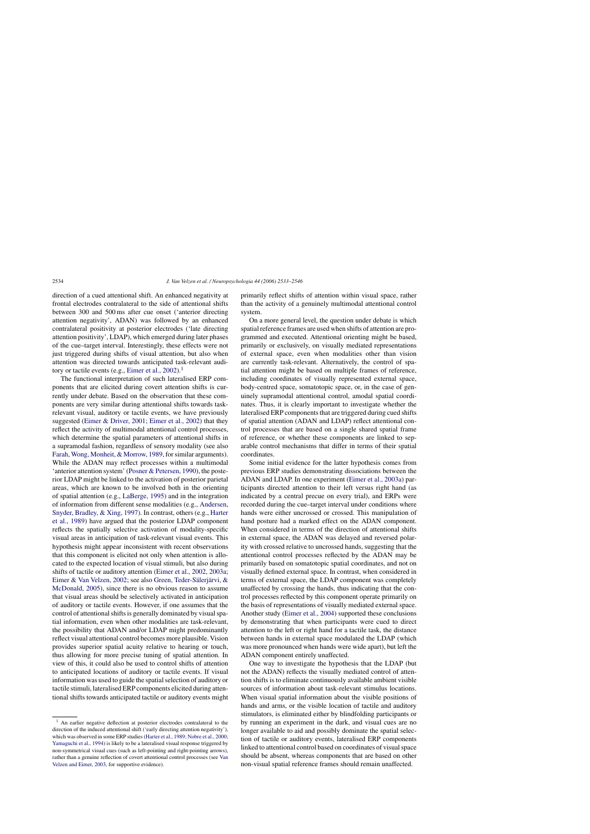direction of a cued attentional shift. An enhanced negativity at frontal electrodes contralateral to the side of attentional shifts between 300 and 500 ms after cue onset ('anterior directing attention negativity', ADAN) was followed by an enhanced contralateral positivity at posterior electrodes ('late directing attention positivity', LDAP), which emerged during later phases of the cue–target interval. Interestingly, these effects were not just triggered during shifts of visual attention, but also when attention was directed towards anticipated task-relevant auditory or tactile events (e.g., Eimer et al.,  $2002$ ).<sup>1</sup>

The functional interpretation of such lateralised ERP components that are elicited during covert attention shifts is currently under debate. Based on the observation that these components are very similar during attentional shifts towards taskrelevant visual, auditory or tactile events, we have previously suggested [\(Eimer & Driver, 2001;](#page-12-0) [Eimer et al., 2002\)](#page-12-0) that they reflect the activity of multimodal attentional control processes, which determine the spatial parameters of attentional shifts in a supramodal fashion, regardless of sensory modality (see also [Farah, Wong, Monheit, & Morrow, 1989, f](#page-12-0)or similar arguments). While the ADAN may reflect processes within a multimodal 'anterior attention system' ([Posner & Petersen, 1990\),](#page-13-0) the posterior LDAP might be linked to the activation of posterior parietal areas, which are known to be involved both in the orienting of spatial attention (e.g., [LaBerge, 1995\)](#page-12-0) and in the integration of information from different sense modalities (e.g., [Andersen,](#page-12-0) [Snyder, Bradley, & Xing, 1997\).](#page-12-0) In contrast, others (e.g., [Harter](#page-12-0) [et al., 1989\)](#page-12-0) have argued that the posterior LDAP component reflects the spatially selective activation of modality-specific visual areas in anticipation of task-relevant visual events. This hypothesis might appear inconsistent with recent observations that this component is elicited not only when attention is allocated to the expected location of visual stimuli, but also during shifts of tactile or auditory attention [\(Eimer et al., 2002, 2003a;](#page-12-0) [Eimer & Van Velzen, 2002;](#page-12-0) see also Green, Teder-Sälerjärvi, [&](#page-12-0) [McDonald, 2005\),](#page-12-0) since there is no obvious reason to assume that visual areas should be selectively activated in anticipation of auditory or tactile events. However, if one assumes that the control of attentional shifts is generally dominated by visual spatial information, even when other modalities are task-relevant, the possibility that ADAN and/or LDAP might predominantly reflect visual attentional control becomes more plausible. Vision provides superior spatial acuity relative to hearing or touch, thus allowing for more precise tuning of spatial attention. In view of this, it could also be used to control shifts of attention to anticipated locations of auditory or tactile events. If visual information was used to guide the spatial selection of auditory or tactile stimuli, lateralised ERP components elicited during attentional shifts towards anticipated tactile or auditory events might primarily reflect shifts of attention within visual space, rather than the activity of a genuinely multimodal attentional control system.

On a more general level, the question under debate is which spatial reference frames are used when shifts of attention are programmed and executed. Attentional orienting might be based, primarily or exclusively, on visually mediated representations of external space, even when modalities other than vision are currently task-relevant. Alternatively, the control of spatial attention might be based on multiple frames of reference, including coordinates of visually represented external space, body-centred space, somatotopic space, or, in the case of genuinely supramodal attentional control, amodal spatial coordinates. Thus, it is clearly important to investigate whether the lateralised ERP components that are triggered during cued shifts of spatial attention (ADAN and LDAP) reflect attentional control processes that are based on a single shared spatial frame of reference, or whether these components are linked to separable control mechanisms that differ in terms of their spatial coordinates.

Some initial evidence for the latter hypothesis comes from previous ERP studies demonstrating dissociations between the ADAN and LDAP. In one experiment [\(Eimer et al., 2003a\)](#page-12-0) participants directed attention to their left versus right hand (as indicated by a central precue on every trial), and ERPs were recorded during the cue–target interval under conditions where hands were either uncrossed or crossed. This manipulation of hand posture had a marked effect on the ADAN component. When considered in terms of the direction of attentional shifts in external space, the ADAN was delayed and reversed polarity with crossed relative to uncrossed hands, suggesting that the attentional control processes reflected by the ADAN may be primarily based on somatotopic spatial coordinates, and not on visually defined external space. In contrast, when considered in terms of external space, the LDAP component was completely unaffected by crossing the hands, thus indicating that the control processes reflected by this component operate primarily on the basis of representations of visually mediated external space. Another study [\(Eimer et al., 2004\)](#page-12-0) supported these conclusions by demonstrating that when participants were cued to direct attention to the left or right hand for a tactile task, the distance between hands in external space modulated the LDAP (which was more pronounced when hands were wide apart), but left the ADAN component entirely unaffected.

One way to investigate the hypothesis that the LDAP (but not the ADAN) reflects the visually mediated control of attention shifts is to eliminate continuously available ambient visible sources of information about task-relevant stimulus locations. When visual spatial information about the visible positions of hands and arms, or the visible location of tactile and auditory stimulators, is eliminated either by blindfolding participants or by running an experiment in the dark, and visual cues are no longer available to aid and possibly dominate the spatial selection of tactile or auditory events, lateralised ERP components linked to attentional control based on coordinates of visual space should be absent, whereas components that are based on other non-visual spatial reference frames should remain unaffected.

<sup>&</sup>lt;sup>1</sup> An earlier negative deflection at posterior electrodes contralateral to the direction of the induced attentional shift ('early directing attention negativity'), which was observed in some ERP studies [\(Harter et al., 1989; Nobre et al., 2000;](#page-12-0) [Yamaguchi et al., 1994\) i](#page-12-0)s likely to be a lateralised visual response triggered by non-symmetrical visual cues (such as left-pointing and right-pointing arrows), rather than a genuine reflection of covert attentional control processes (see [Van](#page-13-0) [Velzen and Eimer, 2003, f](#page-13-0)or supportive evidence).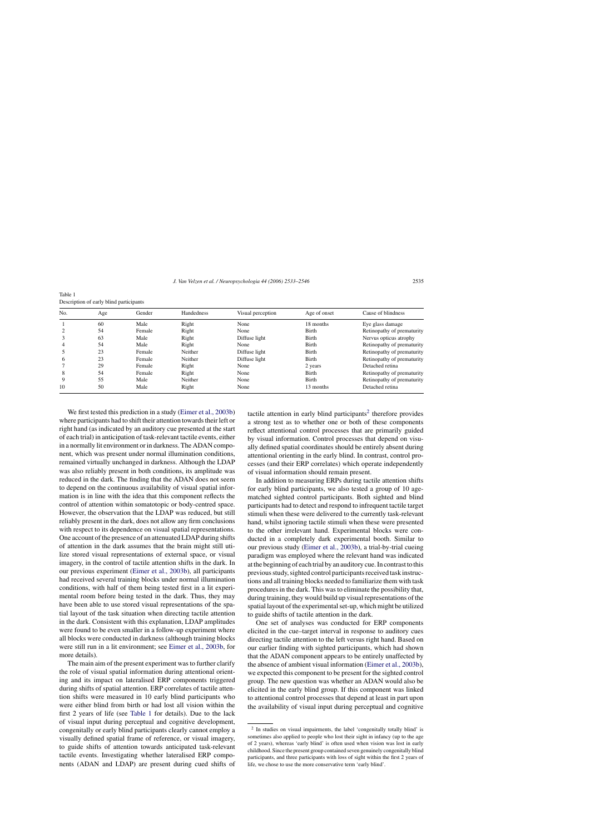<span id="page-2-0"></span>

| No. | Age | Gender | Handedness | Visual perception | Age of onset | Cause of blindness         |
|-----|-----|--------|------------|-------------------|--------------|----------------------------|
|     | 60  | Male   | Right      | None              | 18 months    | Eye glass damage           |
|     | 54  | Female | Right      | None              | Birth        | Retinopathy of prematurity |
|     | 63  | Male   | Right      | Diffuse light     | Birth        | Nervus opticus atrophy     |
| 4   | 54  | Male   | Right      | None              | Birth        | Retinopathy of prematurity |
|     | 23  | Female | Neither    | Diffuse light     | Birth        | Retinopathy of prematurity |
| 6   | 23  | Female | Neither    | Diffuse light     | Birth        | Retinopathy of prematurity |
|     | 29  | Female | Right      | None              | 2 years      | Detached retina            |
| 8   | 54  | Female | Right      | None              | Birth        | Retinopathy of prematurity |
| Q   | 55  | Male   | Neither    | None              | Birth        | Retinopathy of prematurity |
| 10  | 50  | Male   | Right      | None              | 13 months    | Detached retina            |

We first tested this prediction in a study [\(Eimer et al., 2003b\)](#page-12-0) where participants had to shift their attention towards their left or right hand (as indicated by an auditory cue presented at the start of each trial) in anticipation of task-relevant tactile events, either in a normally lit environment or in darkness. The ADAN component, which was present under normal illumination conditions, remained virtually unchanged in darkness. Although the LDAP was also reliably present in both conditions, its amplitude was reduced in the dark. The finding that the ADAN does not seem to depend on the continuous availability of visual spatial information is in line with the idea that this component reflects the control of attention within somatotopic or body-centred space. However, the observation that the LDAP was reduced, but still reliably present in the dark, does not allow any firm conclusions with respect to its dependence on visual spatial representations. One account of the presence of an attenuated LDAP during shifts of attention in the dark assumes that the brain might still utilize stored visual representations of external space, or visual imagery, in the control of tactile attention shifts in the dark. In our previous experiment [\(Eimer et al., 2003b\),](#page-12-0) all participants had received several training blocks under normal illumination conditions, with half of them being tested first in a lit experimental room before being tested in the dark. Thus, they may have been able to use stored visual representations of the spatial layout of the task situation when directing tactile attention in the dark. Consistent with this explanation, LDAP amplitudes were found to be even smaller in a follow-up experiment where all blocks were conducted in darkness (although training blocks were still run in a lit environment; see [Eimer et al., 2003b,](#page-12-0) for more details).

The main aim of the present experiment was to further clarify the role of visual spatial information during attentional orienting and its impact on lateralised ERP components triggered during shifts of spatial attention. ERP correlates of tactile attention shifts were measured in 10 early blind participants who were either blind from birth or had lost all vision within the first 2 years of life (see Table 1 for details). Due to the lack of visual input during perceptual and cognitive development, congenitally or early blind participants clearly cannot employ a visually defined spatial frame of reference, or visual imagery, to guide shifts of attention towards anticipated task-relevant tactile events. Investigating whether lateralised ERP components (ADAN and LDAP) are present during cued shifts of tactile attention in early blind participants<sup>2</sup> therefore provides a strong test as to whether one or both of these components reflect attentional control processes that are primarily guided by visual information. Control processes that depend on visually defined spatial coordinates should be entirely absent during attentional orienting in the early blind. In contrast, control processes (and their ERP correlates) which operate independently of visual information should remain present.

In addition to measuring ERPs during tactile attention shifts for early blind participants, we also tested a group of 10 agematched sighted control participants. Both sighted and blind participants had to detect and respond to infrequent tactile target stimuli when these were delivered to the currently task-relevant hand, whilst ignoring tactile stimuli when these were presented to the other irrelevant hand. Experimental blocks were conducted in a completely dark experimental booth. Similar to our previous study [\(Eimer et al., 2003b\),](#page-12-0) a trial-by-trial cueing paradigm was employed where the relevant hand was indicated at the beginning of each trial by an auditory cue. In contrast to this previous study, sighted control participants received task instructions and all training blocks needed to familiarize them with task procedures in the dark. This was to eliminate the possibility that, during training, they would build up visual representations of the spatial layout of the experimental set-up, which might be utilized to guide shifts of tactile attention in the dark.

One set of analyses was conducted for ERP components elicited in the cue–target interval in response to auditory cues directing tactile attention to the left versus right hand. Based on our earlier finding with sighted participants, which had shown that the ADAN component appears to be entirely unaffected by the absence of ambient visual information [\(Eimer et al., 2003b\),](#page-12-0) we expected this component to be present for the sighted control group. The new question was whether an ADAN would also be elicited in the early blind group. If this component was linked to attentional control processes that depend at least in part upon the availability of visual input during perceptual and cognitive

<sup>2</sup> In studies on visual impairments, the label 'congenitally totally blind' is sometimes also applied to people who lost their sight in infancy (up to the age of 2 years), whereas 'early blind' is often used when vision was lost in early childhood. Since the present group contained seven genuinely congenitally blind participants, and three participants with loss of sight within the first 2 years of life, we chose to use the more conservative term 'early blind'.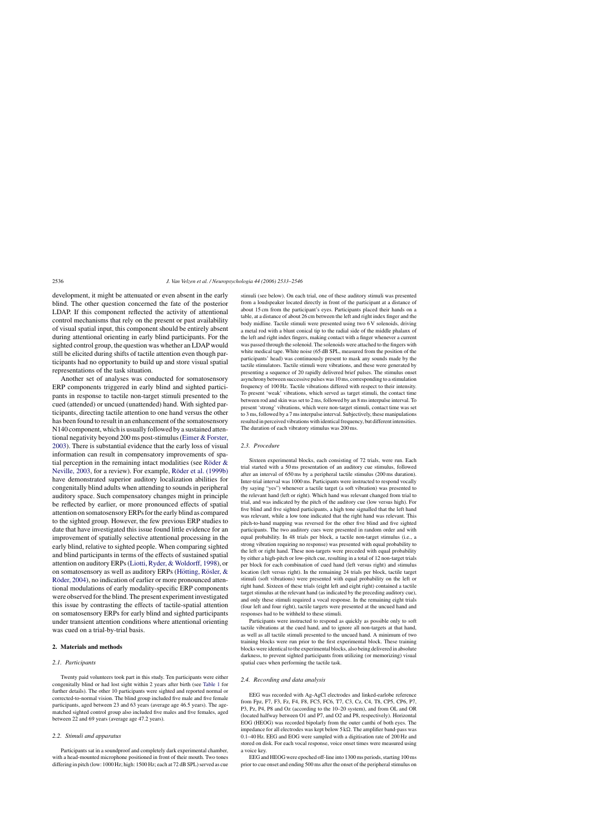development, it might be attenuated or even absent in the early blind. The other question concerned the fate of the posterior LDAP. If this component reflected the activity of attentional control mechanisms that rely on the present or past availability of visual spatial input, this component should be entirely absent during attentional orienting in early blind participants. For the sighted control group, the question was whether an LDAP would still be elicited during shifts of tactile attention even though participants had no opportunity to build up and store visual spatial representations of the task situation.

Another set of analyses was conducted for somatosensory ERP components triggered in early blind and sighted participants in response to tactile non-target stimuli presented to the cued (attended) or uncued (unattended) hand. With sighted participants, directing tactile attention to one hand versus the other has been found to result in an enhancement of the somatosensory N140 component, which is usually followed by a sustained attentional negativity beyond 200 ms post-stimulus [\(Eimer & Forster,](#page-12-0) [2003\).](#page-12-0) There is substantial evidence that the early loss of visual information can result in compensatory improvements of spatial perception in the remaining intact modalities (see Röder  $\&$ [Neville, 2003,](#page-13-0) for a review). For example, Röder et al. (1999b) have demonstrated superior auditory localization abilities for congenitally blind adults when attending to sounds in peripheral auditory space. Such compensatory changes might in principle be reflected by earlier, or more pronounced effects of spatial attention on somatosensory ERPs for the early blind as compared to the sighted group. However, the few previous ERP studies to date that have investigated this issue found little evidence for an improvement of spatially selective attentional processing in the early blind, relative to sighted people. When comparing sighted and blind participants in terms of the effects of sustained spatial attention on auditory ERPs ([Liotti, Ryder, & Woldorff, 1998\),](#page-12-0) or on somatosensory as well as auditory ERPs (Hötting, Rösler,  $\&$ Röder, 2004), no indication of earlier or more pronounced attentional modulations of early modality-specific ERP components were observed for the blind. The present experiment investigated this issue by contrasting the effects of tactile-spatial attention on somatosensory ERPs for early blind and sighted participants under transient attention conditions where attentional orienting was cued on a trial-by-trial basis.

#### **2. Materials and methods**

#### *2.1. Participants*

Twenty paid volunteers took part in this study. Ten participants were either congenitally blind or had lost sight within 2 years after birth (see [Table 1](#page-2-0) for further details). The other 10 participants were sighted and reported normal or corrected-to-normal vision. The blind group included five male and five female participants, aged between 23 and 63 years (average age 46.5 years). The agematched sighted control group also included five males and five females, aged between 22 and 69 years (average age 47.2 years).

#### *2.2. Stimuli and apparatus*

Participants sat in a soundproof and completely dark experimental chamber, with a head-mounted microphone positioned in front of their mouth. Two tones differing in pitch (low: 1000 Hz; high: 1500 Hz; each at 72 dB SPL) served as cue stimuli (see below). On each trial, one of these auditory stimuli was presented from a loudspeaker located directly in front of the participant at a distance of about 15 cm from the participant's eyes. Participants placed their hands on a table, at a distance of about 26 cm between the left and right index finger and the body midline. Tactile stimuli were presented using two 6 V solenoids, driving a metal rod with a blunt conical tip to the radial side of the middle phalanx of the left and right index fingers, making contact with a finger whenever a current was passed through the solenoid. The solenoids were attached to the fingers with white medical tape. White noise (65 dB SPL, measured from the position of the participants' head) was continuously present to mask any sounds made by the tactile stimulators. Tactile stimuli were vibrations, and these were generated by presenting a sequence of 20 rapidly delivered brief pulses. The stimulus onset asynchrony between successive pulses was 10 ms, corresponding to a stimulation frequency of 100 Hz. Tactile vibrations differed with respect to their intensity. To present 'weak' vibrations, which served as target stimuli, the contact time between rod and skin was set to 2 ms, followed by an 8 ms interpulse interval. To present 'strong' vibrations, which were non-target stimuli, contact time was set to 3 ms, followed by a 7 ms interpulse interval. Subjectively, these manipulations resulted in perceived vibrations with identical frequency, but different intensities. The duration of each vibratory stimulus was 200 ms.

#### *2.3. Procedure*

Sixteen experimental blocks, each consisting of 72 trials, were run. Each trial started with a 50 ms presentation of an auditory cue stimulus, followed after an interval of 650 ms by a peripheral tactile stimulus (200 ms duration). Inter-trial interval was 1000 ms. Participants were instructed to respond vocally (by saying "yes") whenever a tactile target (a soft vibration) was presented to the relevant hand (left or right). Which hand was relevant changed from trial to trial, and was indicated by the pitch of the auditory cue (low versus high). For five blind and five sighted participants, a high tone signalled that the left hand was relevant, while a low tone indicated that the right hand was relevant. This pitch-to-hand mapping was reversed for the other five blind and five sighted participants. The two auditory cues were presented in random order and with equal probability. In 48 trials per block, a tactile non-target stimulus (i.e., a strong vibration requiring no response) was presented with equal probability to the left or right hand. These non-targets were preceded with equal probability by either a high-pitch or low-pitch cue, resulting in a total of 12 non-target trials per block for each combination of cued hand (left versus right) and stimulus location (left versus right). In the remaining 24 trials per block, tactile target stimuli (soft vibrations) were presented with equal probability on the left or right hand. Sixteen of these trials (eight left and eight right) contained a tactile target stimulus at the relevant hand (as indicated by the preceding auditory cue), and only these stimuli required a vocal response. In the remaining eight trials (four left and four right), tactile targets were presented at the uncued hand and responses had to be withheld to these stimuli.

Participants were instructed to respond as quickly as possible only to soft tactile vibrations at the cued hand, and to ignore all non-targets at that hand, as well as all tactile stimuli presented to the uncued hand. A minimum of two training blocks were run prior to the first experimental block. These training blocks were identical to the experimental blocks, also being delivered in absolute darkness, to prevent sighted participants from utilizing (or memorizing) visual spatial cues when performing the tactile task.

#### *2.4. Recording and data analysis*

EEG was recorded with Ag-AgCl electrodes and linked-earlobe reference from Fpz, F7, F3, Fz, F4, F8, FC5, FC6, T7, C3, Cz, C4, T8, CP5, CP6, P7, P3, Pz, P4, P8 and Oz (according to the 10–20 system), and from OL and OR (located halfway between O1 and P7, and O2 and P8, respectively). Horizontal EOG (HEOG) was recorded bipolarly from the outer canthi of both eyes. The impedance for all electrodes was kept below  $5 \text{ k}\Omega$ . The amplifier band-pass was 0.1–40 Hz. EEG and EOG were sampled with a digitisation rate of 200 Hz and stored on disk. For each vocal response, voice onset times were measured using a voice key.

EEG and HEOG were epoched off-line into 1300 ms periods, starting 100 ms prior to cue onset and ending 500 ms after the onset of the peripheral stimulus on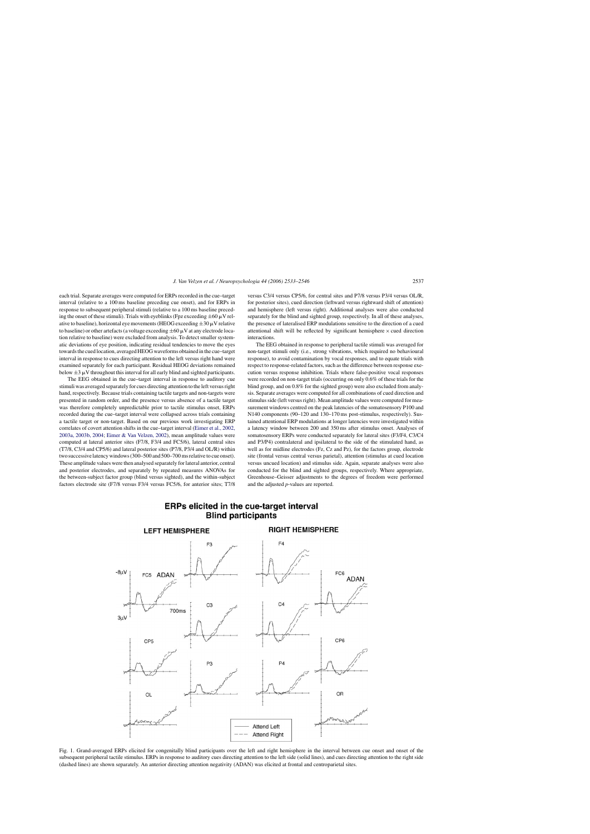<span id="page-4-0"></span>each trial. Separate averages were computed for ERPs recorded in the cue–target interval (relative to a 100 ms baseline preceding cue onset), and for ERPs in response to subsequent peripheral stimuli (relative to a 100 ms baseline preceding the onset of these stimuli). Trials with eyeblinks (Fpz exceeding  $\pm 60 \,\mu\text{V}$  relative to baseline), horizontal eye movements (HEOG exceeding  $\pm 30 \,\mu\text{V}$  relative to baseline) or other artefacts (a voltage exceeding  $\pm 60 \mu$ V at any electrode location relative to baseline) were excluded from analysis. To detect smaller systematic deviations of eye position, indicating residual tendencies to move the eyes towards the cued location, averaged HEOG waveforms obtained in the cue–target interval in response to cues directing attention to the left versus right hand were examined separately for each participant. Residual HEOG deviations remained below  $\pm 3 \mu$ V throughout this interval for all early blind and sighted participants.

The EEG obtained in the cue–target interval in response to auditory cue stimuli was averaged separately for cues directing attention to the left versus right hand, respectively. Because trials containing tactile targets and non-targets were presented in random order, and the presence versus absence of a tactile target was therefore completely unpredictable prior to tactile stimulus onset, ERPs recorded during the cue–target interval were collapsed across trials containing a tactile target or non-target. Based on our previous work investigating ERP correlates of covert attention shifts in the cue–target interval ([Eimer et al., 2002,](#page-12-0) [2003a, 2003b, 2004;](#page-12-0) [Eimer & Van Velzen, 2002\),](#page-12-0) mean amplitude values were computed at lateral anterior sites (F7/8, F3/4 and FC5/6), lateral central sites (T7/8, C3/4 and CP5/6) and lateral posterior sites (P7/8, P3/4 and OL/R) within two successive latency windows (300–500 and 500–700 ms relative to cue onset). These amplitude values were then analysed separately for lateral anterior, central and posterior electrodes, and separately by repeated measures ANOVAs for the between-subject factor group (blind versus sighted), and the within-subject factors electrode site (F7/8 versus F3/4 versus FC5/6, for anterior sites; T7/8

versus C3/4 versus CP5/6, for central sites and P7/8 versus P3/4 versus OL/R, for posterior sites), cued direction (leftward versus rightward shift of attention) and hemisphere (left versus right). Additional analyses were also conducted separately for the blind and sighted group, respectively. In all of these analyses, the presence of lateralised ERP modulations sensitive to the direction of a cued attentional shift will be reflected by significant hemisphere  $\times$  cued direction interactions.

The EEG obtained in response to peripheral tactile stimuli was averaged for non-target stimuli only (i.e., strong vibrations, which required no behavioural response), to avoid contamination by vocal responses, and to equate trials with respect to response-related factors, such as the difference between response execution versus response inhibition. Trials where false-positive vocal responses were recorded on non-target trials (occurring on only 0.6% of these trials for the blind group, and on 0.8% for the sighted group) were also excluded from analysis. Separate averages were computed for all combinations of cued direction and stimulus side (left versus right). Mean amplitude values were computed for measurement windows centred on the peak latencies of the somatosensory P100 and N140 components (90–120 and 130–170 ms post-stimulus, respectively). Sustained attentional ERP modulations at longer latencies were investigated within a latency window between 200 and 350 ms after stimulus onset. Analyses of somatosensory ERPs were conducted separately for lateral sites (F3/F4, C3/C4 and P3/P4) contralateral and ipsilateral to the side of the stimulated hand, as well as for midline electrodes (Fz, Cz and Pz), for the factors group, electrode site (frontal versus central versus parietal), attention (stimulus at cued location versus uncued location) and stimulus side. Again, separate analyses were also conducted for the blind and sighted groups, respectively. Where appropriate, Greenhouse–Geisser adjustments to the degrees of freedom were performed and the adjusted *p*-values are reported.



# **ERPs elicited in the cue-target interval Blind participants**

Fig. 1. Grand-averaged ERPs elicited for congenitally blind participants over the left and right hemisphere in the interval between cue onset and onset of the subsequent peripheral tactile stimulus. ERPs in response to auditory cues directing attention to the left side (solid lines), and cues directing attention to the right side (dashed lines) are shown separately. An anterior directing attention negativity (ADAN) was elicited at frontal and centroparietal sites.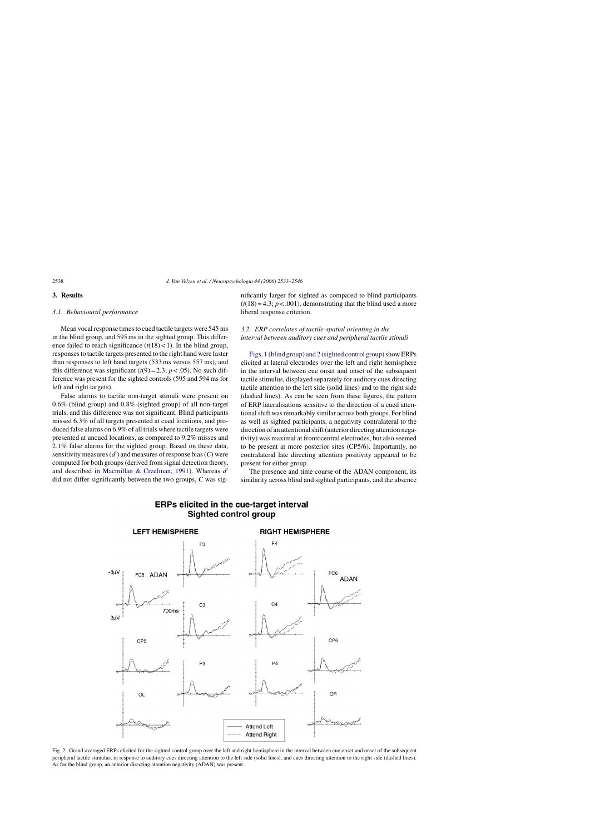## **3. Results**

#### *3.1. Behavioural performance*

Mean vocal response times to cued tactile targets were 545 ms in the blind group, and 595 ms in the sighted group. This difference failed to reach significance  $(t(18) < 1)$ . In the blind group, responses to tactile targets presented to the right hand were faster than responses to left hand targets (533 ms versus 557 ms), and this difference was significant  $(t(9) = 2.3; p < .05)$ . No such difference was present for the sighted controls (595 and 594 ms for left and right targets).

False alarms to tactile non-target stimuli were present on 0.6% (blind group) and 0.8% (sighted group) of all non-target trials, and this difference was not significant. Blind participants missed 6.3% of all targets presented at cued locations, and produced false alarms on 6.9% of all trials where tactile targets were presented at uncued locations, as compared to 9.2% misses and 2.1% false alarms for the sighted group. Based on these data, sensitivity measures (d') and measures of response bias (C) were computed for both groups (derived from signal detection theory, and described in [Macmillan & Creelman, 1991\).](#page-12-0) Whereas *d* did not differ significantly between the two groups, *C* was significantly larger for sighted as compared to blind participants  $(t(18) = 4.3; p < .001)$ , demonstrating that the blind used a more liberal response criterion.

## *3.2. ERP correlates of tactile-spatial orienting in the interval between auditory cues and peripheral tactile stimuli*

Figs. 1 (blind group) and 2 (sighted control group) show ERPs elicited at lateral electrodes over the left and right hemisphere in the interval between cue onset and onset of the subsequent tactile stimulus, displayed separately for auditory cues directing tactile attention to the left side (solid lines) and to the right side (dashed lines). As can be seen from these figures, the pattern of ERP lateralisations sensitive to the direction of a cued attentional shift was remarkably similar across both groups. For blind as well as sighted participants, a negativity contralateral to the direction of an attentional shift (anterior directing attention negativity) was maximal at frontocentral electrodes, but also seemed to be present at more posterior sites (CP5/6). Importantly, no contralateral late directing attention positivity appeared to be present for either group.

The presence and time course of the ADAN component, its similarity across blind and sighted participants, and the absence



# **ERPs elicited in the cue-target interval Sighted control group**

Fig. 2. Grand-averaged ERPs elicited for the sighted control group over the left and right hemisphere in the interval between cue onset and onset of the subsequent peripheral tactile stimulus, in response to auditory cues directing attention to the left side (solid lines), and cues directing attention to the right side (dashed lines). As for the blind group, an anterior directing attention negativity (ADAN) was present.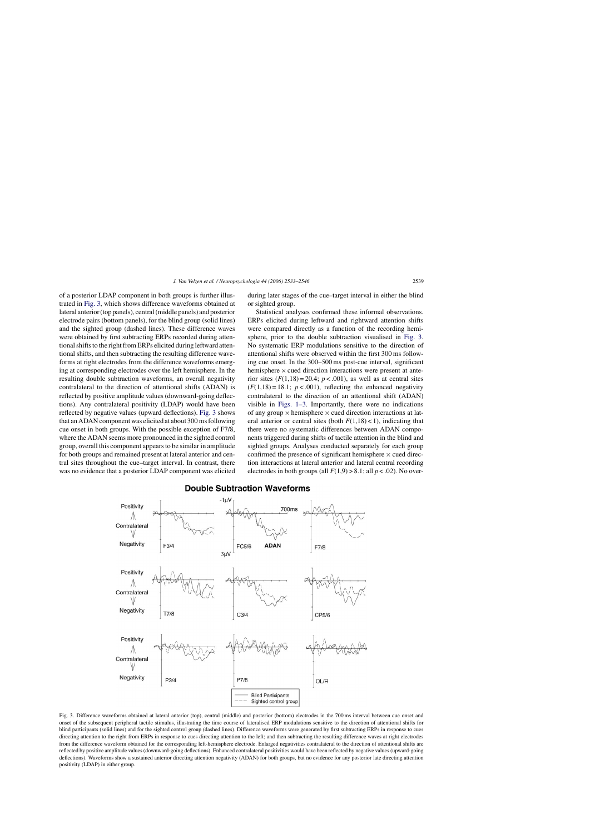<span id="page-6-0"></span>of a posterior LDAP component in both groups is further illustrated in Fig. 3, which shows difference waveforms obtained at lateral anterior (top panels), central (middle panels) and posterior electrode pairs (bottom panels), for the blind group (solid lines) and the sighted group (dashed lines). These difference waves were obtained by first subtracting ERPs recorded during attentional shifts to the right from ERPs elicited during leftward attentional shifts, and then subtracting the resulting difference waveforms at right electrodes from the difference waveforms emerging at corresponding electrodes over the left hemisphere. In the resulting double subtraction waveforms, an overall negativity contralateral to the direction of attentional shifts (ADAN) is reflected by positive amplitude values (downward-going deflections). Any contralateral positivity (LDAP) would have been reflected by negative values (upward deflections). Fig. 3 shows that an ADAN component was elicited at about 300 ms following cue onset in both groups. With the possible exception of F7/8, where the ADAN seems more pronounced in the sighted control group, overall this component appears to be similar in amplitude for both groups and remained present at lateral anterior and central sites throughout the cue–target interval. In contrast, there was no evidence that a posterior LDAP component was elicited during later stages of the cue–target interval in either the blind or sighted group.

Statistical analyses confirmed these informal observations. ERPs elicited during leftward and rightward attention shifts were compared directly as a function of the recording hemisphere, prior to the double subtraction visualised in Fig. 3. No systematic ERP modulations sensitive to the direction of attentional shifts were observed within the first 300 ms following cue onset. In the 300–500 ms post-cue interval, significant hemisphere  $\times$  cued direction interactions were present at anterior sites  $(F(1,18) = 20.4; p < .001)$ , as well as at central sites  $(F(1,18) = 18.1; p < .001)$ , reflecting the enhanced negativity contralateral to the direction of an attentional shift (ADAN) visible in [Figs. 1–3.](#page-4-0) Importantly, there were no indications of any group  $\times$  hemisphere  $\times$  cued direction interactions at lateral anterior or central sites (both  $F(1,18) < 1$ ), indicating that there were no systematic differences between ADAN components triggered during shifts of tactile attention in the blind and sighted groups. Analyses conducted separately for each group confirmed the presence of significant hemisphere  $\times$  cued direction interactions at lateral anterior and lateral central recording electrodes in both groups (all  $F(1,9) > 8.1$ ; all  $p < .02$ ). No over-



# **Double Subtraction Waveforms**

Fig. 3. Difference waveforms obtained at lateral anterior (top), central (middle) and posterior (bottom) electrodes in the 700 ms interval between cue onset and onset of the subsequent peripheral tactile stimulus, illustrating the time course of lateralised ERP modulations sensitive to the direction of attentional shifts for blind participants (solid lines) and for the sighted control group (dashed lines). Difference waveforms were generated by first subtracting ERPs in response to cues directing attention to the right from ERPs in response to cues directing attention to the left; and then subtracting the resulting difference waves at right electrodes from the difference waveform obtained for the corresponding left-hemisphere electrode. Enlarged negativities contralateral to the direction of attentional shifts are reflected by positive amplitude values (downward-going deflections). Enhanced contralateral positivities would have been reflected by negative values (upward-going deflections). Waveforms show a sustained anterior directing attention negativity (ADAN) for both groups, but no evidence for any posterior late directing attention positivity (LDAP) in either group.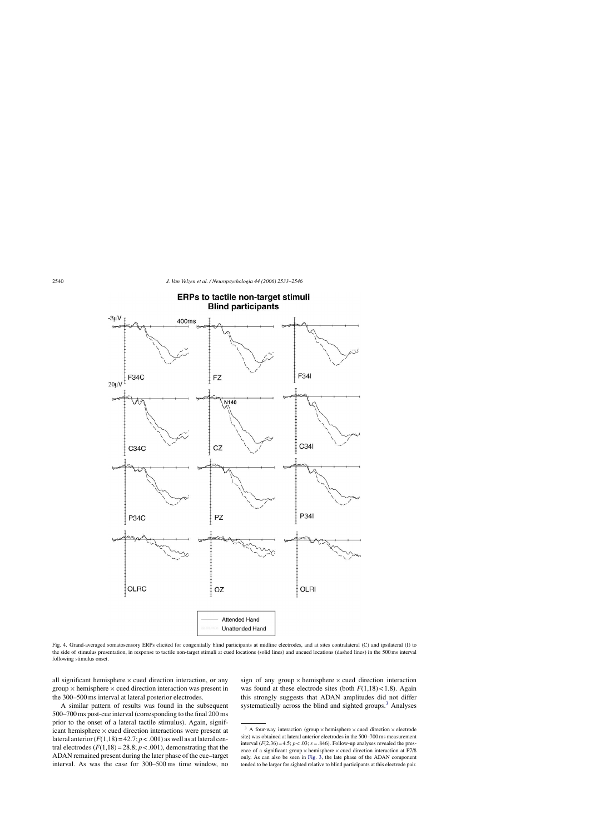<span id="page-7-0"></span>

the side of stimulus presentation, in response to tactile non-target stimuli at cued locations (solid lines) and uncued locations (dashed lines) in the 500 ms interval following stimulus onset.

all significant hemisphere  $\times$  cued direction interaction, or any  $\gamma$  group  $\times$  hemisphere  $\times$  cued direction interaction was present in the 300–500 ms interval at lateral posterior electrodes.

A similar pattern of results was found in the subsequent 500–700 ms post-cue interval (corresponding to the final 200 ms prior to the onset of a lateral tactile stimulus). Again, significant hemisphere  $\times$  cued direction interactions were present at lateral anterior  $(F(1,18) = 42.7; p < .001)$  as well as at lateral central electrodes  $(F(1,18) = 28.8; p < .001)$ , demonstrating that the ADAN remained present during the later phase of the cue–target interval. As was the case for 300–500 ms time window, no

sign of any group  $\times$  hemisphere  $\times$  cued direction interaction was found at these electrode sites (both  $F(1,18)$  < 1.8). Again this strongly suggests that ADAN amplitudes did not differ systematically across the blind and sighted groups.<sup>3</sup> Analyses

<sup>&</sup>lt;sup>3</sup> A four-way interaction (group  $\times$  hemisphere  $\times$  cued direction  $\times$  electrode site) was obtained at lateral anterior electrodes in the 500–700 ms measurement interval  $(F(2,36) = 4.5; p < .03; \varepsilon = .846)$ . Follow-up analyses revealed the presence of a significant group  $\times$  hemisphere  $\times$  cued direction interaction at F7/8 only. As can also be seen in [Fig. 3,](#page-6-0) the late phase of the ADAN component tended to be larger for sighted relative to blind participants at this electrode pair.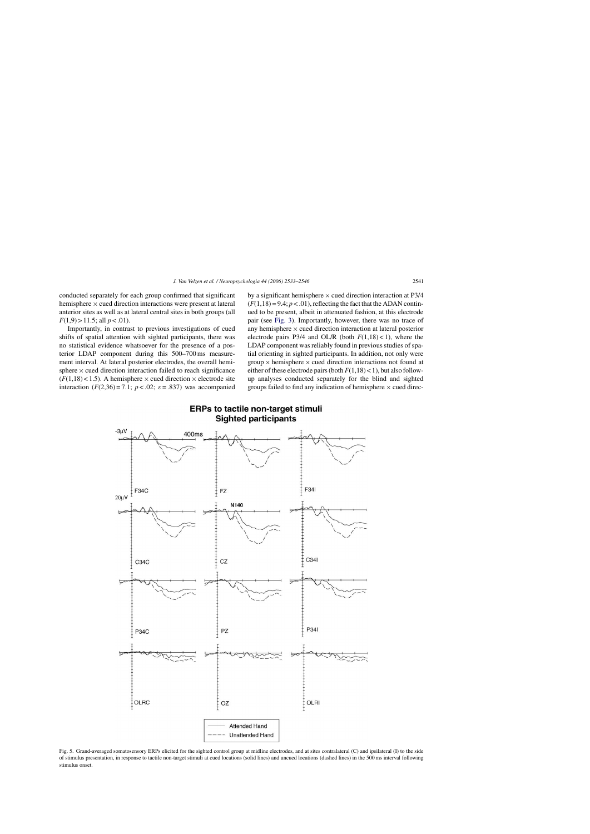<span id="page-8-0"></span>conducted separately for each group confirmed that significant hemisphere  $\times$  cued direction interactions were present at lateral anterior sites as well as at lateral central sites in both groups (all  $F(1.9) > 11.5$ ; all  $p < .01$ ).

Importantly, in contrast to previous investigations of cued shifts of spatial attention with sighted participants, there was no statistical evidence whatsoever for the presence of a posterior LDAP component during this 500–700 ms measurement interval. At lateral posterior electrodes, the overall hemisphere  $\times$  cued direction interaction failed to reach significance  $(F(1,18)$  < 1.5). A hemisphere  $\times$  cued direction  $\times$  electrode site interaction  $(F(2,36) = 7.1; p < .02; \varepsilon = .837)$  was accompanied

by a significant hemisphere  $\times$  cued direction interaction at P3/4  $(F(1,18) = 9.4; p < .01)$ , reflecting the fact that the ADAN continued to be present, albeit in attenuated fashion, at this electrode pair (see [Fig. 3\).](#page-6-0) Importantly, however, there was no trace of any hemisphere  $\times$  cued direction interaction at lateral posterior electrode pairs P3/4 and OL/R (both  $F(1,18)$  < 1), where the LDAP component was reliably found in previous studies of spatial orienting in sighted participants. In addition, not only were  $\gamma$  group  $\times$  hemisphere  $\times$  cued direction interactions not found at either of these electrode pairs (both  $F(1,18) < 1$ ), but also followup analyses conducted separately for the blind and sighted groups failed to find any indication of hemisphere  $\times$  cued direc-



# **ERPs to tactile non-target stimuli Sighted participants**

Fig. 5. Grand-averaged somatosensory ERPs elicited for the sighted control group at midline electrodes, and at sites contralateral (C) and ipsilateral (I) to the side of stimulus presentation, in response to tactile non-target stimuli at cued locations (solid lines) and uncued locations (dashed lines) in the 500 ms interval following stimulus onset.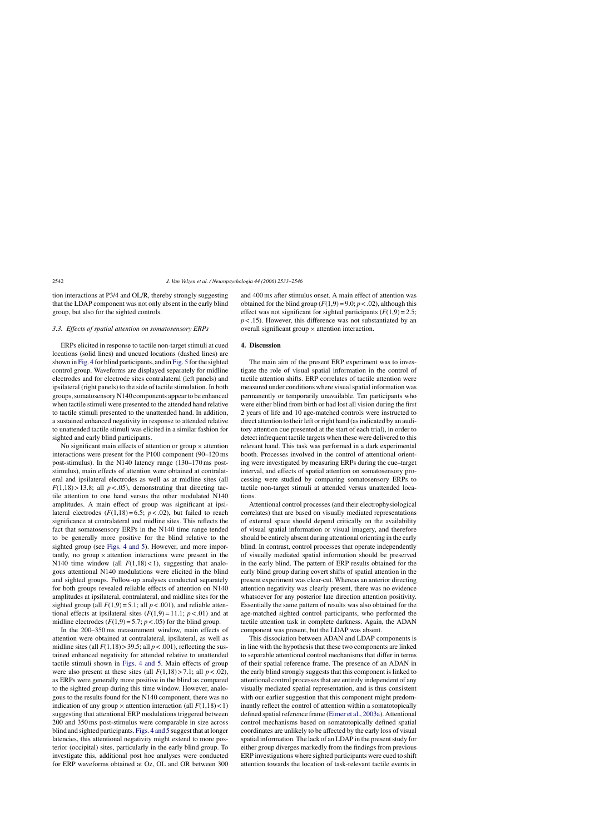tion interactions at P3/4 and OL/R, thereby strongly suggesting that the LDAP component was not only absent in the early blind group, but also for the sighted controls.

## *3.3. Effects of spatial attention on somatosensory ERPs*

ERPs elicited in response to tactile non-target stimuli at cued locations (solid lines) and uncued locations (dashed lines) are shown in [Fig. 4](#page-7-0) for blind participants, and in [Fig. 5](#page-8-0) for the sighted control group. Waveforms are displayed separately for midline electrodes and for electrode sites contralateral (left panels) and ipsilateral (right panels) to the side of tactile stimulation. In both groups, somatosensory N140 components appear to be enhanced when tactile stimuli were presented to the attended hand relative to tactile stimuli presented to the unattended hand. In addition, a sustained enhanced negativity in response to attended relative to unattended tactile stimuli was elicited in a similar fashion for sighted and early blind participants.

No significant main effects of attention or group  $\times$  attention interactions were present for the P100 component (90–120 ms post-stimulus). In the N140 latency range (130–170 ms poststimulus), main effects of attention were obtained at contralateral and ipsilateral electrodes as well as at midline sites (all  $F(1,18) > 13.8$ ; all  $p < .05$ ), demonstrating that directing tactile attention to one hand versus the other modulated N140 amplitudes. A main effect of group was significant at ipsilateral electrodes  $(F(1,18) = 6.5; p < .02)$ , but failed to reach significance at contralateral and midline sites. This reflects the fact that somatosensory ERPs in the N140 time range tended to be generally more positive for the blind relative to the sighted group (see [Figs. 4 and 5\)](#page-7-0). However, and more importantly, no group  $\times$  attention interactions were present in the N140 time window (all  $F(1,18)$  < 1), suggesting that analogous attentional N140 modulations were elicited in the blind and sighted groups. Follow-up analyses conducted separately for both groups revealed reliable effects of attention on N140 amplitudes at ipsilateral, contralateral, and midline sites for the sighted group (all  $F(1,9) = 5.1$ ; all  $p < .001$ ), and reliable attentional effects at ipsilateral sites  $(F(1,9) = 11.1; p < .01)$  and at midline electrodes  $(F(1,9) = 5.7; p < .05)$  for the blind group.

In the 200–350 ms measurement window, main effects of attention were obtained at contralateral, ipsilateral, as well as midline sites (all  $F(1,18)$ ) > 39.5; all  $p < .001$ ), reflecting the sustained enhanced negativity for attended relative to unattended tactile stimuli shown in [Figs. 4 and 5.](#page-7-0) Main effects of group were also present at these sites (all  $F(1,18) > 7.1$ ; all  $p < .02$ ), as ERPs were generally more positive in the blind as compared to the sighted group during this time window. However, analogous to the results found for the N140 component, there was no indication of any group  $\times$  attention interaction (all  $F(1,18)$  < 1) suggesting that attentional ERP modulations triggered between 200 and 350 ms post-stimulus were comparable in size across blind and sighted participants. [Figs. 4 and 5](#page-7-0) suggest that at longer latencies, this attentional negativity might extend to more posterior (occipital) sites, particularly in the early blind group. To investigate this, additional post hoc analyses were conducted for ERP waveforms obtained at Oz, OL and OR between 300 and 400 ms after stimulus onset. A main effect of attention was obtained for the blind group  $(F(1,9) = 9.0; p < .02)$ , although this effect was not significant for sighted participants  $(F(1,9) = 2.5;$  $p$  < .15). However, this difference was not substantiated by an overall significant group  $\times$  attention interaction.

#### **4. Discussion**

The main aim of the present ERP experiment was to investigate the role of visual spatial information in the control of tactile attention shifts. ERP correlates of tactile attention were measured under conditions where visual spatial information was permanently or temporarily unavailable. Ten participants who were either blind from birth or had lost all vision during the first 2 years of life and 10 age-matched controls were instructed to direct attention to their left or right hand (as indicated by an auditory attention cue presented at the start of each trial), in order to detect infrequent tactile targets when these were delivered to this relevant hand. This task was performed in a dark experimental booth. Processes involved in the control of attentional orienting were investigated by measuring ERPs during the cue–target interval, and effects of spatial attention on somatosensory processing were studied by comparing somatosensory ERPs to tactile non-target stimuli at attended versus unattended locations.

Attentional control processes (and their electrophysiological correlates) that are based on visually mediated representations of external space should depend critically on the availability of visual spatial information or visual imagery, and therefore should be entirely absent during attentional orienting in the early blind. In contrast, control processes that operate independently of visually mediated spatial information should be preserved in the early blind. The pattern of ERP results obtained for the early blind group during covert shifts of spatial attention in the present experiment was clear-cut. Whereas an anterior directing attention negativity was clearly present, there was no evidence whatsoever for any posterior late direction attention positivity. Essentially the same pattern of results was also obtained for the age-matched sighted control participants, who performed the tactile attention task in complete darkness. Again, the ADAN component was present, but the LDAP was absent.

This dissociation between ADAN and LDAP components is in line with the hypothesis that these two components are linked to separable attentional control mechanisms that differ in terms of their spatial reference frame. The presence of an ADAN in the early blind strongly suggests that this component is linked to attentional control processes that are entirely independent of any visually mediated spatial representation, and is thus consistent with our earlier suggestion that this component might predominantly reflect the control of attention within a somatotopically defined spatial reference frame [\(Eimer et al., 2003a\).](#page-12-0) Attentional control mechanisms based on somatotopically defined spatial coordinates are unlikely to be affected by the early loss of visual spatial information. The lack of an LDAP in the present study for either group diverges markedly from the findings from previous ERP investigations where sighted participants were cued to shift attention towards the location of task-relevant tactile events in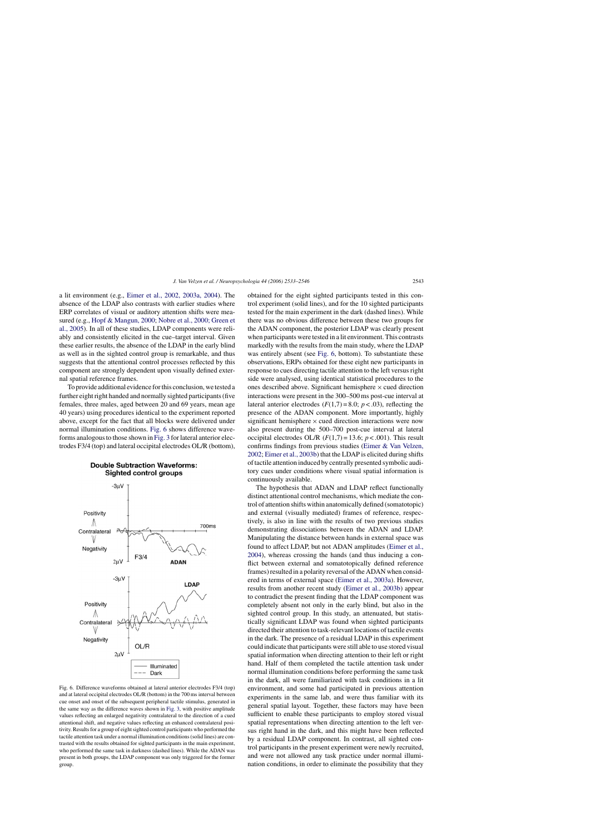a lit environment (e.g., [Eimer et al., 2002, 2003a, 2004\).](#page-12-0) The absence of the LDAP also contrasts with earlier studies where ERP correlates of visual or auditory attention shifts were measured (e.g., [Hopf & Mangun, 2000;](#page-12-0) [Nobre et al., 2000; Green et](#page-13-0) [al., 2005\).](#page-13-0) In all of these studies, LDAP components were reliably and consistently elicited in the cue–target interval. Given these earlier results, the absence of the LDAP in the early blind as well as in the sighted control group is remarkable, and thus suggests that the attentional control processes reflected by this component are strongly dependent upon visually defined external spatial reference frames.

To provide additional evidence for this conclusion, we tested a further eight right handed and normally sighted participants (five females, three males, aged between 20 and 69 years, mean age 40 years) using procedures identical to the experiment reported above, except for the fact that all blocks were delivered under normal illumination conditions. Fig. 6 shows difference waveforms analogous to those shown in [Fig. 3](#page-6-0) for lateral anterior electrodes F3/4 (top) and lateral occipital electrodes OL/R (bottom),



### **Double Subtraction Waveforms: Sighted control groups**

Fig. 6. Difference waveforms obtained at lateral anterior electrodes F3/4 (top) and at lateral occipital electrodes OL/R (bottom) in the 700 ms interval between cue onset and onset of the subsequent peripheral tactile stimulus, generated in the same way as the difference waves shown in [Fig. 3, w](#page-6-0)ith positive amplitude values reflecting an enlarged negativity contralateral to the direction of a cued attentional shift, and negative values reflecting an enhanced contralateral positivity. Results for a group of eight sighted control participants who performed the tactile attention task under a normal illumination conditions (solid lines) are contrasted with the results obtained for sighted participants in the main experiment, who performed the same task in darkness (dashed lines). While the ADAN was present in both groups, the LDAP component was only triggered for the former group.

obtained for the eight sighted participants tested in this control experiment (solid lines), and for the 10 sighted participants tested for the main experiment in the dark (dashed lines). While there was no obvious difference between these two groups for the ADAN component, the posterior LDAP was clearly present when participants were tested in a lit environment. This contrasts markedly with the results from the main study, where the LDAP was entirely absent (see Fig. 6, bottom). To substantiate these observations, ERPs obtained for these eight new participants in response to cues directing tactile attention to the left versus right side were analysed, using identical statistical procedures to the ones described above. Significant hemisphere  $\times$  cued direction interactions were present in the 300–500 ms post-cue interval at lateral anterior electrodes  $(F(1,7) = 8.0; p < .03)$ , reflecting the presence of the ADAN component. More importantly, highly significant hemisphere  $\times$  cued direction interactions were now also present during the 500–700 post-cue interval at lateral occipital electrodes OL/R  $(F(1,7) = 13.6; p < .001)$ . This result confirms findings from previous studies [\(Eimer & Van Velzen,](#page-12-0) [2002;](#page-12-0) [Eimer et al., 2003b\)](#page-12-0) that the LDAP is elicited during shifts of tactile attention induced by centrally presented symbolic auditory cues under conditions where visual spatial information is continuously available.

The hypothesis that ADAN and LDAP reflect functionally distinct attentional control mechanisms, which mediate the control of attention shifts within anatomically defined (somatotopic) and external (visually mediated) frames of reference, respectively, is also in line with the results of two previous studies demonstrating dissociations between the ADAN and LDAP. Manipulating the distance between hands in external space was found to affect LDAP, but not ADAN amplitudes ([Eimer et al.,](#page-12-0) [2004\),](#page-12-0) whereas crossing the hands (and thus inducing a conflict between external and somatotopically defined reference frames) resulted in a polarity reversal of the ADAN when considered in terms of external space [\(Eimer et al., 2003a\).](#page-12-0) However, results from another recent study ([Eimer et al., 2003b\)](#page-12-0) appear to contradict the present finding that the LDAP component was completely absent not only in the early blind, but also in the sighted control group. In this study, an attenuated, but statistically significant LDAP was found when sighted participants directed their attention to task-relevant locations of tactile events in the dark. The presence of a residual LDAP in this experiment could indicate that participants were still able to use stored visual spatial information when directing attention to their left or right hand. Half of them completed the tactile attention task under normal illumination conditions before performing the same task in the dark, all were familiarized with task conditions in a lit environment, and some had participated in previous attention experiments in the same lab, and were thus familiar with its general spatial layout. Together, these factors may have been sufficient to enable these participants to employ stored visual spatial representations when directing attention to the left versus right hand in the dark, and this might have been reflected by a residual LDAP component. In contrast, all sighted control participants in the present experiment were newly recruited, and were not allowed any task practice under normal illumination conditions, in order to eliminate the possibility that they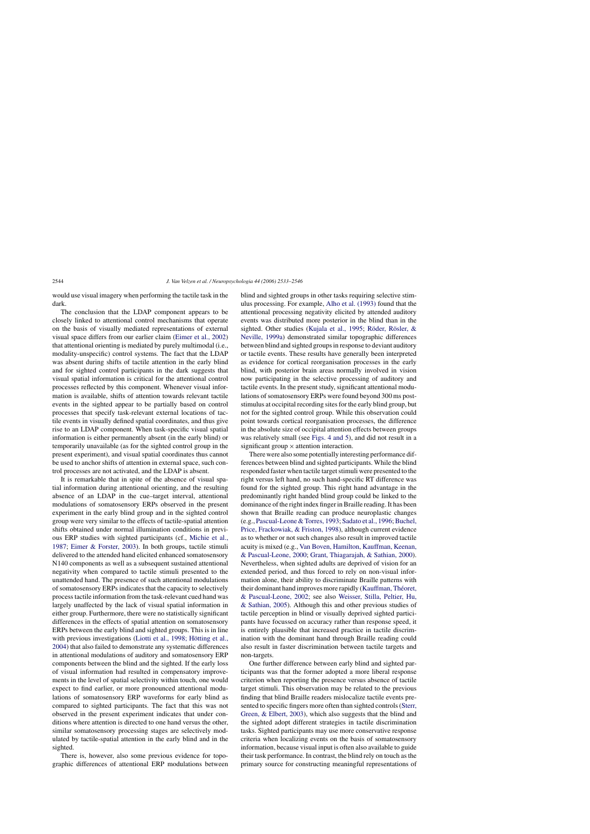would use visual imagery when performing the tactile task in the dark.

The conclusion that the LDAP component appears to be closely linked to attentional control mechanisms that operate on the basis of visually mediated representations of external visual space differs from our earlier claim [\(Eimer et al., 2002\)](#page-12-0) that attentional orienting is mediated by purely multimodal (i.e., modality-unspecific) control systems. The fact that the LDAP was absent during shifts of tactile attention in the early blind and for sighted control participants in the dark suggests that visual spatial information is critical for the attentional control processes reflected by this component. Whenever visual information is available, shifts of attention towards relevant tactile events in the sighted appear to be partially based on control processes that specify task-relevant external locations of tactile events in visually defined spatial coordinates, and thus give rise to an LDAP component. When task-specific visual spatial information is either permanently absent (in the early blind) or temporarily unavailable (as for the sighted control group in the present experiment), and visual spatial coordinates thus cannot be used to anchor shifts of attention in external space, such control processes are not activated, and the LDAP is absent.

It is remarkable that in spite of the absence of visual spatial information during attentional orienting, and the resulting absence of an LDAP in the cue–target interval, attentional modulations of somatosensory ERPs observed in the present experiment in the early blind group and in the sighted control group were very similar to the effects of tactile-spatial attention shifts obtained under normal illumination conditions in previous ERP studies with sighted participants (cf., [Michie et al.,](#page-12-0) [1987;](#page-12-0) [Eimer & Forster, 2003\).](#page-12-0) In both groups, tactile stimuli delivered to the attended hand elicited enhanced somatosensory N140 components as well as a subsequent sustained attentional negativity when compared to tactile stimuli presented to the unattended hand. The presence of such attentional modulations of somatosensory ERPs indicates that the capacity to selectively process tactile information from the task-relevant cued hand was largely unaffected by the lack of visual spatial information in either group. Furthermore, there were no statistically significant differences in the effects of spatial attention on somatosensory ERPs between the early blind and sighted groups. This is in line with previous investigations (Liotti et al., 1998; Hötting et al., [2004\)](#page-12-0) that also failed to demonstrate any systematic differences in attentional modulations of auditory and somatosensory ERP components between the blind and the sighted. If the early loss of visual information had resulted in compensatory improvements in the level of spatial selectivity within touch, one would expect to find earlier, or more pronounced attentional modulations of somatosensory ERP waveforms for early blind as compared to sighted participants. The fact that this was not observed in the present experiment indicates that under conditions where attention is directed to one hand versus the other, similar somatosensory processing stages are selectively modulated by tactile-spatial attention in the early blind and in the sighted.

There is, however, also some previous evidence for topographic differences of attentional ERP modulations between blind and sighted groups in other tasks requiring selective stimulus processing. For example, [Alho et al. \(1993\)](#page-12-0) found that the attentional processing negativity elicited by attended auditory events was distributed more posterior in the blind than in the sighted. Other studies ([Kujala et al., 1995;](#page-12-0) Röder, Rösler, & [Neville, 1999a\)](#page-13-0) demonstrated similar topographic differences between blind and sighted groups in response to deviant auditory or tactile events. These results have generally been interpreted as evidence for cortical reorganisation processes in the early blind, with posterior brain areas normally involved in vision now participating in the selective processing of auditory and tactile events. In the present study, significant attentional modulations of somatosensory ERPs were found beyond 300 ms poststimulus at occipital recording sites for the early blind group, but not for the sighted control group. While this observation could point towards cortical reorganisation processes, the difference in the absolute size of occipital attention effects between groups was relatively small (see [Figs. 4 and 5\),](#page-7-0) and did not result in a significant group  $\times$  attention interaction.

There were also some potentially interesting performance differences between blind and sighted participants. While the blind responded faster when tactile target stimuli were presented to the right versus left hand, no such hand-specific RT difference was found for the sighted group. This right hand advantage in the predominantly right handed blind group could be linked to the dominance of the right index finger in Braille reading. It has been shown that Braille reading can produce neuroplastic changes (e.g., [Pascual-Leone & Torres, 1993;](#page-13-0) [Sadato et al., 1996;](#page-13-0) [Buchel,](#page-12-0) [Price, Frackowiak, & Friston, 1998\),](#page-12-0) although current evidence as to whether or not such changes also result in improved tactile acuity is mixed (e.g., [Van Boven, Hamilton, Kauffman, Keenan,](#page-13-0) [& Pascual-Leone, 2000;](#page-13-0) [Grant, Thiagarajah, & Sathian, 2000\).](#page-12-0) Nevertheless, when sighted adults are deprived of vision for an extended period, and thus forced to rely on non-visual information alone, their ability to discriminate Braille patterns with their dominant hand improves more rapidly (Kauffman, Théoret, [& Pascual-Leone, 2002;](#page-12-0) see also [Weisser, Stilla, Peltier, Hu,](#page-13-0) [& Sathian, 2005\).](#page-13-0) Although this and other previous studies of tactile perception in blind or visually deprived sighted participants have focussed on accuracy rather than response speed, it is entirely plausible that increased practice in tactile discrimination with the dominant hand through Braille reading could also result in faster discrimination between tactile targets and non-targets.

One further difference between early blind and sighted participants was that the former adopted a more liberal response criterion when reporting the presence versus absence of tactile target stimuli. This observation may be related to the previous finding that blind Braille readers mislocalize tactile events presented to specific fingers more often than sighted controls [\(Sterr,](#page-13-0) [Green, & Elbert, 2003\),](#page-13-0) which also suggests that the blind and the sighted adopt different strategies in tactile discrimination tasks. Sighted participants may use more conservative response criteria when localizing events on the basis of somatosensory information, because visual input is often also available to guide their task performance. In contrast, the blind rely on touch as the primary source for constructing meaningful representations of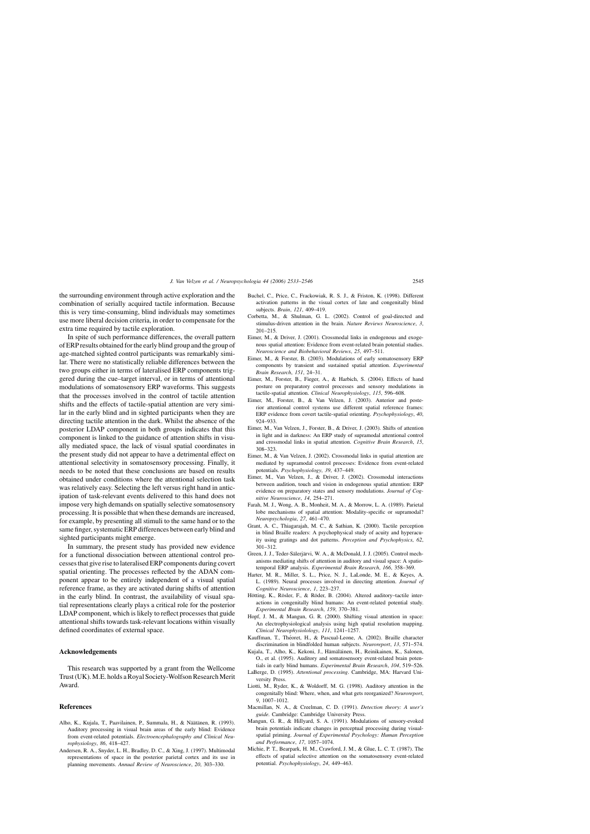<span id="page-12-0"></span>the surrounding environment through active exploration and the combination of serially acquired tactile information. Because this is very time-consuming, blind individuals may sometimes use more liberal decision criteria, in order to compensate for the extra time required by tactile exploration.

In spite of such performance differences, the overall pattern of ERP results obtained for the early blind group and the group of age-matched sighted control participants was remarkably similar. There were no statistically reliable differences between the two groups either in terms of lateralised ERP components triggered during the cue–target interval, or in terms of attentional modulations of somatosensory ERP waveforms. This suggests that the processes involved in the control of tactile attention shifts and the effects of tactile-spatial attention are very similar in the early blind and in sighted participants when they are directing tactile attention in the dark. Whilst the absence of the posterior LDAP component in both groups indicates that this component is linked to the guidance of attention shifts in visually mediated space, the lack of visual spatial coordinates in the present study did not appear to have a detrimental effect on attentional selectivity in somatosensory processing. Finally, it needs to be noted that these conclusions are based on results obtained under conditions where the attentional selection task was relatively easy. Selecting the left versus right hand in anticipation of task-relevant events delivered to this hand does not impose very high demands on spatially selective somatosensory processing. It is possible that when these demands are increased, for example, by presenting all stimuli to the same hand or to the same finger, systematic ERP differences between early blind and sighted participants might emerge.

In summary, the present study has provided new evidence for a functional dissociation between attentional control processes that give rise to lateralised ERP components during covert spatial orienting. The processes reflected by the ADAN component appear to be entirely independent of a visual spatial reference frame, as they are activated during shifts of attention in the early blind. In contrast, the availability of visual spatial representations clearly plays a critical role for the posterior LDAP component, which is likely to reflect processes that guide attentional shifts towards task-relevant locations within visually defined coordinates of external space.

#### **Acknowledgements**

This research was supported by a grant from the Wellcome Trust (UK). M.E. holds a Royal Society-Wolfson Research Merit Award.

#### **References**

- Alho, K., Kujala, T., Paavilainen, P., Summala, H., & Näätänen, R. (1993). Auditory processing in visual brain areas of the early blind: Evidence from event-related potentials. *Electroencephalography and Clinical Neurophysiology*, *86*, 418–427.
- Andersen, R. A., Snyder, L. H., Bradley, D. C., & Xing, J. (1997). Multimodal representations of space in the posterior parietal cortex and its use in planning movements. *Annual Review of Neuroscience*, *20*, 303–330.
- Buchel, C., Price, C., Frackowiak, R. S. J., & Friston, K. (1998). Different activation patterns in the visual cortex of late and congenitally blind subjects. *Brain*, *121*, 409–419.
- Corbetta, M., & Shulman, G. L. (2002). Control of goal-directed and stimulus-driven attention in the brain. *Nature Reviews Neuroscience*, *3*, 201–215.
- Eimer, M., & Driver, J. (2001). Crossmodal links in endogenous and exogenous spatial attention: Evidence from event-related brain potential studies. *Neuroscience and Biobehavioral Reviews*, *25*, 497–511.
- Eimer, M., & Forster, B. (2003). Modulations of early somatosensory ERP components by transient and sustained spatial attention. *Experimental Brain Research*, *151*, 24–31.
- Eimer, M., Forster, B., Fieger, A., & Harbich, S. (2004). Effects of hand posture on preparatory control processes and sensory modulations in tactile-spatial attention. *Clinical Neurophysiology*, *115*, 596–608.
- Eimer, M., Forster, B., & Van Velzen, J. (2003). Anterior and posterior attentional control systems use different spatial reference frames: ERP evidence from covert tactile-spatial orienting. *Psychophysiology*, *40*, 924–933.
- Eimer, M., Van Velzen, J., Forster, B., & Driver, J. (2003). Shifts of attention in light and in darkness: An ERP study of supramodal attentional control and crossmodal links in spatial attention. *Cognitive Brain Research*, *15*, 308–323.
- Eimer, M., & Van Velzen, J. (2002). Crossmodal links in spatial attention are mediated by supramodal control processes: Evidence from event-related potentials. *Psychophysiology*, *39*, 437–449.
- Eimer, M., Van Velzen, J., & Driver, J. (2002). Crossmodal interactions between audition, touch and vision in endogenous spatial attention: ERP evidence on preparatory states and sensory modulations. *Journal of Cognitive Neuroscience*, *14*, 254–271.
- Farah, M. J., Wong, A. B., Monheit, M. A., & Morrow, L. A. (1989). Parietal lobe mechanisms of spatial attention: Modality-specific or supramodal? *Neuropsychologia*, *27*, 461–470.
- Grant, A. C., Thiagarajah, M. C., & Sathian, K. (2000). Tactile perception in blind Braille readers: A psychophysical study of acuity and hyperacuity using gratings and dot patterns. *Perception and Psychophysics*, *62*, 301–312.
- Green, J. J., Teder-Sälerjärvi, W. A., & McDonald, J. J. (2005). Control mechanisms mediating shifts of attention in auditory and visual space: A spatiotemporal ERP analysis. *Experimental Brain Research*, *166*, 358–369.
- Harter, M. R., Miller, S. L., Price, N. J., LaLonde, M. E., & Keyes, A. L. (1989). Neural processes involved in directing attention. *Journal of Cognitive Neuroscience*, *1*, 223–237.
- Hötting, K., Rösler, F., & Röder, B. (2004). Altered auditory-tactile interactions in congenitally blind humans: An event-related potential study. *Experimental Brain Research*, *159*, 370–381.
- Hopf, J. M., & Mangun, G. R. (2000). Shifting visual attention in space: An electrophysiological analysis using high spatial resolution mapping. *Clinical Neurophysiolology*, *111*, 1241–1257.
- Kauffman, T., Théoret, H., & Pascual-Leone, A. (2002). Braille character discrimination in blindfolded human subjects. *Neuroreport*, *13*, 571–574.
- Kujala, T., Alho, K., Kekoni, J., Hämäläinen, H., Reinikainen, K., Salonen, O., et al. (1995). Auditory and somatosensory event-related brain potentials in early blind humans. *Experimental Brain Research*, *104*, 519–526.
- LaBerge, D. (1995). *Attentional processing*. Cambridge, MA: Harvard University Press.
- Liotti, M., Ryder, K., & Woldorff, M. G. (1998). Auditory attention in the congenitally blind: Where, when, and what gets reorganized? *Neuroreport*, *9*, 1007–1012.
- Macmillan, N. A., & Creelman, C. D. (1991). *Detection theory: A user's guide*. Cambridge: Cambridge University Press.
- Mangun, G. R., & Hillyard, S. A. (1991). Modulations of sensory-evoked brain potentials indicate changes in perceptual processing during visualspatial priming. *Journal of Experimental Psychology: Human Perception and Performance*, *17*, 1057–1074.
- Michie, P. T., Bearpark, H. M., Crawford, J. M., & Glue, L. C. T. (1987). The effects of spatial selective attention on the somatosensory event-related potential. *Psychophysiology*, *24*, 449–463.